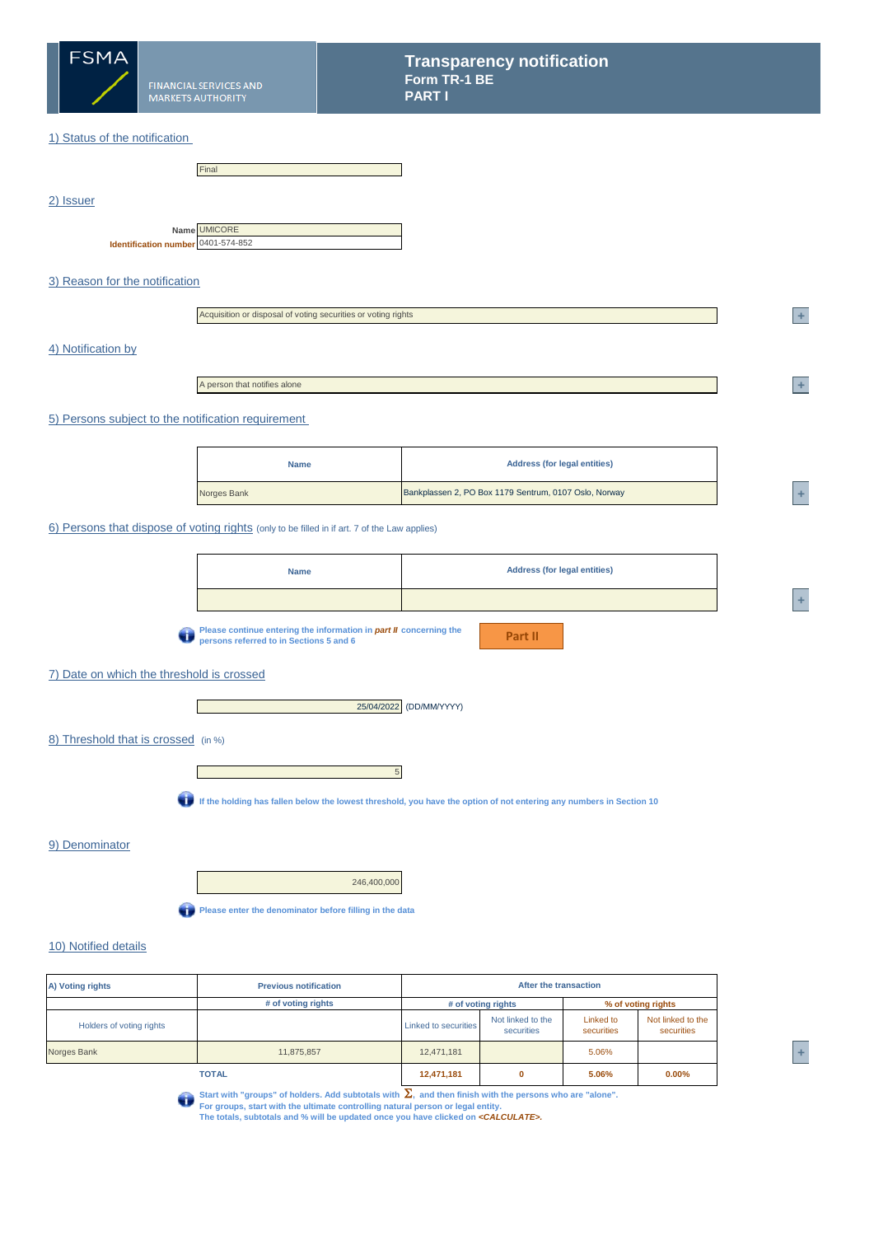

## 1) Status of the notification

| Final                              |
|------------------------------------|
|                                    |
|                                    |
|                                    |
|                                    |
|                                    |
| Name UMICORE                       |
| Identification number 0401-574-852 |

## 3) Reason for the notification

| Acquisition or<br>r disposal of voting securities or voting rights |
|--------------------------------------------------------------------|
|--------------------------------------------------------------------|

**<sup>1</sup> +** 

**<sup>A</sup> +** 

## 4) Notification by

2) Issuer

A person that notifies alone

### 5) Persons subject to the notification requirement

| <b>Name</b> | <b>Address (for legal entities)</b>                   |  |
|-------------|-------------------------------------------------------|--|
| Norges Bank | Bankplassen 2, PO Box 1179 Sentrum, 0107 Oslo, Norway |  |

### 6) Persons that dispose of voting rights (only to be filled in if art. 7 of the Law applies)

| <b>Name</b> | <b>Address (for legal entities)</b> |
|-------------|-------------------------------------|
|             |                                     |
|             |                                     |

**Please continue entering the information in** *part II* **concerning the persons referred to in Sections 5 and 6**

**Part II**

# 7) Date on which the threshold is crossed

 $\mathbf{I}$ 

 $\mathbf{I}$ 



8) Threshold that is crossed (in %)



**If the holding has fallen below the lowest threshold, you have the option of not entering any numbers in Section 10**

#### 9) Denominator

246,400,000

**Please enter the denominator before filling in the data** 

## 10) Notified details

| A) Voting rights         | <b>Previous notification</b> | After the transaction |                                 |                         |                                 |  |
|--------------------------|------------------------------|-----------------------|---------------------------------|-------------------------|---------------------------------|--|
|                          | # of voting rights           | # of voting rights    |                                 | % of voting rights      |                                 |  |
| Holders of voting rights |                              | Linked to securities  | Not linked to the<br>securities | Linked to<br>securities | Not linked to the<br>securities |  |
| Norges Bank              | 11.875.857                   | 12,471,181            |                                 | 5.06%                   |                                 |  |
|                          | <b>TOTAL</b>                 | 12,471,181            | 0                               | 5.06%                   | $0.00\%$                        |  |

Start with "groups" of holders. Add subtotals with  $\sum$ , and then finish with the persons who are "alone".<br>For groups, start with the ultimate controlling natural person or legal entity.<br>The totals, subtotals and % will b